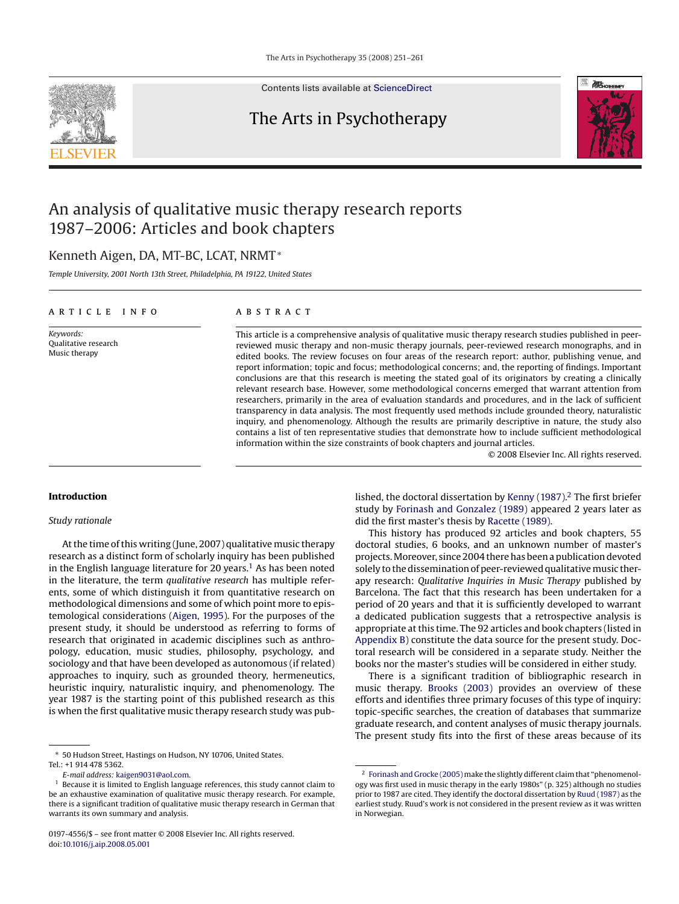

Contents lists available at [ScienceDirect](http://www.sciencedirect.com/science/journal/01974556)

## The Arts in Psychotherapy



## An analysis of qualitative music therapy research reports 1987–2006: Articles and book chapters

### Kenneth Aigen, DA, MT-BC, LCAT, NRMT<sup>∗</sup>

*Temple University, 2001 North 13th Street, Philadelphia, PA 19122, United States*

#### article info

*Keywords:* Qualitative research Music therapy

#### **ABSTRACT**

This article is a comprehensive analysis of qualitative music therapy research studies published in peerreviewed music therapy and non-music therapy journals, peer-reviewed research monographs, and in edited books. The review focuses on four areas of the research report: author, publishing venue, and report information; topic and focus; methodological concerns; and, the reporting of findings. Important conclusions are that this research is meeting the stated goal of its originators by creating a clinically relevant research base. However, some methodological concerns emerged that warrant attention from researchers, primarily in the area of evaluation standards and procedures, and in the lack of sufficient transparency in data analysis. The most frequently used methods include grounded theory, naturalistic inquiry, and phenomenology. Although the results are primarily descriptive in nature, the study also contains a list of ten representative studies that demonstrate how to include sufficient methodological information within the size constraints of book chapters and journal articles.

© 2008 Elsevier Inc. All rights reserved.

#### **Introduction**

#### *Study rationale*

At the time of this writing (June, 2007) qualitative music therapy research as a distinct form of scholarly inquiry has been published in the English language literature for 20 years.<sup>1</sup> As has been noted in the literature, the term *qualitative research* has multiple referents, some of which distinguish it from quantitative research on methodological dimensions and some of which point more to epistemological considerations [\(Aigen, 1995\).](#page--1-0) For the purposes of the present study, it should be understood as referring to forms of research that originated in academic disciplines such as anthropology, education, music studies, philosophy, psychology, and sociology and that have been developed as autonomous (if related) approaches to inquiry, such as grounded theory, hermeneutics, heuristic inquiry, naturalistic inquiry, and phenomenology. The year 1987 is the starting point of this published research as this is when the first qualitative music therapy research study was pub-

*E-mail address:* [kaigen9031@aol.com.](mailto:kaigen9031@aol.com)

lished, the doctoral dissertation by [Kenny \(1987\).](#page--1-0) <sup>2</sup> The first briefer study by [Forinash and Gonzalez \(1989\)](#page--1-0) appeared 2 years later as did the first master's thesis by [Racette \(1989\).](#page--1-0)

This history has produced 92 articles and book chapters, 55 doctoral studies, 6 books, and an unknown number of master's projects.Moreover, since 2004 there has been a publication devoted solely to the dissemination of peer-reviewed qualitative music therapy research: *Qualitative Inquiries in Music Therapy* published by Barcelona. The fact that this research has been undertaken for a period of 20 years and that it is sufficiently developed to warrant a dedicated publication suggests that a retrospective analysis is appropriate at this time. The 92 articles and book chapters (listed in [Appendix B\) c](#page--1-0)onstitute the data source for the present study. Doctoral research will be considered in a separate study. Neither the books nor the master's studies will be considered in either study.

There is a significant tradition of bibliographic research in music therapy. [Brooks \(2003\)](#page--1-0) provides an overview of these efforts and identifies three primary focuses of this type of inquiry: topic-specific searches, the creation of databases that summarize graduate research, and content analyses of music therapy journals. The present study fits into the first of these areas because of its

<sup>∗</sup> 50 Hudson Street, Hastings on Hudson, NY 10706, United States. Tel.: +1 914 478 5362.

Because it is limited to English language references, this study cannot claim to be an exhaustive examination of qualitative music therapy research. For example, there is a significant tradition of qualitative music therapy research in German that warrants its own summary and analysis.

<sup>0197-4556/\$ –</sup> see front matter © 2008 Elsevier Inc. All rights reserved. doi:[10.1016/j.aip.2008.05.001](dx.doi.org/10.1016/j.aip.2008.05.001)

<sup>&</sup>lt;sup>2</sup> [Forinash and Grocke \(2005\)](#page--1-0) make the slightly different claim that "phenomenology was first used in music therapy in the early 1980s" (p. 325) although no studies prior to 1987 are cited. They identify the doctoral dissertation by [Ruud \(1987\)](#page--1-0) as the earliest study. Ruud's work is not considered in the present review as it was written in Norwegian.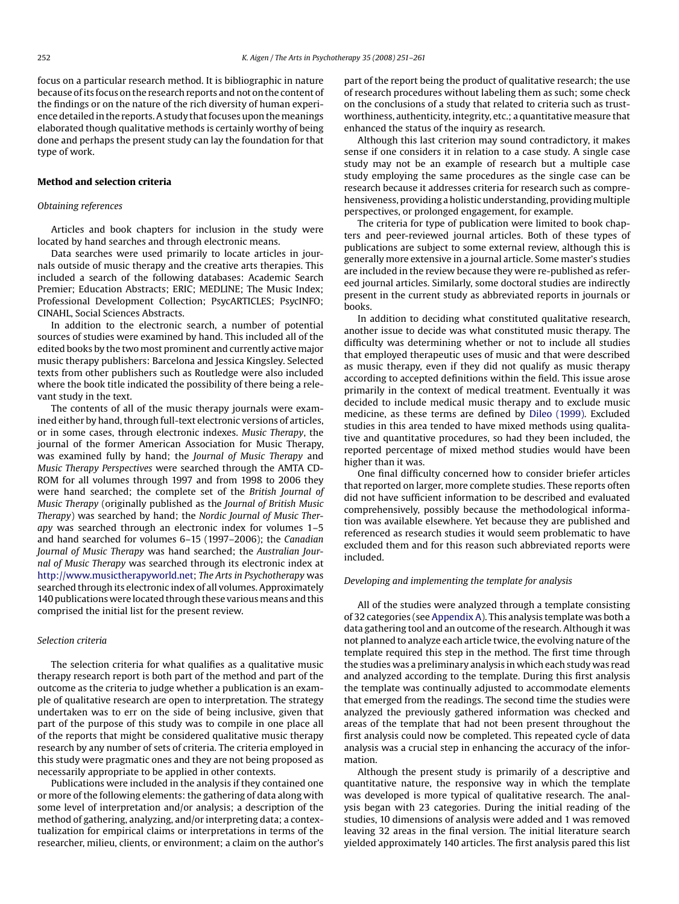focus on a particular research method. It is bibliographic in nature because of its focus on the research reports and not on the content of the findings or on the nature of the rich diversity of human experience detailed in the reports. A study that focuses upon the meanings elaborated though qualitative methods is certainly worthy of being done and perhaps the present study can lay the foundation for that type of work.

#### **Method and selection criteria**

#### *Obtaining references*

Articles and book chapters for inclusion in the study were located by hand searches and through electronic means.

Data searches were used primarily to locate articles in journals outside of music therapy and the creative arts therapies. This included a search of the following databases: Academic Search Premier; Education Abstracts; ERIC; MEDLINE; The Music Index; Professional Development Collection; PsycARTICLES; PsycINFO; CINAHL, Social Sciences Abstracts.

In addition to the electronic search, a number of potential sources of studies were examined by hand. This included all of the edited books by the two most prominent and currently active major music therapy publishers: Barcelona and Jessica Kingsley. Selected texts from other publishers such as Routledge were also included where the book title indicated the possibility of there being a relevant study in the text.

The contents of all of the music therapy journals were examined either by hand, through full-text electronic versions of articles, or in some cases, through electronic indexes. *Music Therapy*, the journal of the former American Association for Music Therapy, was examined fully by hand; the *Journal of Music Therapy* and *Music Therapy Perspectives* were searched through the AMTA CD-ROM for all volumes through 1997 and from 1998 to 2006 they were hand searched; the complete set of the *British Journal of Music Therapy* (originally published as the *Journal of British Music Therapy*) was searched by hand; the *Nordic Journal of Music Therapy* was searched through an electronic index for volumes 1–5 and hand searched for volumes 6–15 (1997–2006); the *Canadian Journal of Music Therapy* was hand searched; the *Australian Journal of Music Therapy* was searched through its electronic index at [http://www.musictherapyworld.net;](http://www.musictherapyworld.net/) *The Arts in Psychotherapy* was searched through its electronic index of all volumes. Approximately 140 publications were located through these various means and this comprised the initial list for the present review.

#### *Selection criteria*

The selection criteria for what qualifies as a qualitative music therapy research report is both part of the method and part of the outcome as the criteria to judge whether a publication is an example of qualitative research are open to interpretation. The strategy undertaken was to err on the side of being inclusive, given that part of the purpose of this study was to compile in one place all of the reports that might be considered qualitative music therapy research by any number of sets of criteria. The criteria employed in this study were pragmatic ones and they are not being proposed as necessarily appropriate to be applied in other contexts.

Publications were included in the analysis if they contained one or more of the following elements: the gathering of data along with some level of interpretation and/or analysis; a description of the method of gathering, analyzing, and/or interpreting data; a contextualization for empirical claims or interpretations in terms of the researcher, milieu, clients, or environment; a claim on the author's part of the report being the product of qualitative research; the use of research procedures without labeling them as such; some check on the conclusions of a study that related to criteria such as trustworthiness, authenticity, integrity, etc.; a quantitative measure that enhanced the status of the inquiry as research.

Although this last criterion may sound contradictory, it makes sense if one considers it in relation to a case study. A single case study may not be an example of research but a multiple case study employing the same procedures as the single case can be research because it addresses criteria for research such as comprehensiveness, providing a holistic understanding, providing multiple perspectives, or prolonged engagement, for example.

The criteria for type of publication were limited to book chapters and peer-reviewed journal articles. Both of these types of publications are subject to some external review, although this is generally more extensive in a journal article. Some master's studies are included in the review because they were re-published as refereed journal articles. Similarly, some doctoral studies are indirectly present in the current study as abbreviated reports in journals or books.

In addition to deciding what constituted qualitative research, another issue to decide was what constituted music therapy. The difficulty was determining whether or not to include all studies that employed therapeutic uses of music and that were described as music therapy, even if they did not qualify as music therapy according to accepted definitions within the field. This issue arose primarily in the context of medical treatment. Eventually it was decided to include medical music therapy and to exclude music medicine, as these terms are defined by [Dileo \(1999\).](#page--1-0) Excluded studies in this area tended to have mixed methods using qualitative and quantitative procedures, so had they been included, the reported percentage of mixed method studies would have been higher than it was.

One final difficulty concerned how to consider briefer articles that reported on larger, more complete studies. These reports often did not have sufficient information to be described and evaluated comprehensively, possibly because the methodological information was available elsewhere. Yet because they are published and referenced as research studies it would seem problematic to have excluded them and for this reason such abbreviated reports were included.

#### *Developing and implementing the template for analysis*

All of the studies were analyzed through a template consisting of 32 categories (see [Appendix A\).](#page--1-0) This analysis template was both a data gathering tool and an outcome of the research. Although it was not planned to analyze each article twice, the evolving nature of the template required this step in the method. The first time through the studies was a preliminary analysis in which each study was read and analyzed according to the template. During this first analysis the template was continually adjusted to accommodate elements that emerged from the readings. The second time the studies were analyzed the previously gathered information was checked and areas of the template that had not been present throughout the first analysis could now be completed. This repeated cycle of data analysis was a crucial step in enhancing the accuracy of the information.

Although the present study is primarily of a descriptive and quantitative nature, the responsive way in which the template was developed is more typical of qualitative research. The analysis began with 23 categories. During the initial reading of the studies, 10 dimensions of analysis were added and 1 was removed leaving 32 areas in the final version. The initial literature search yielded approximately 140 articles. The first analysis pared this list